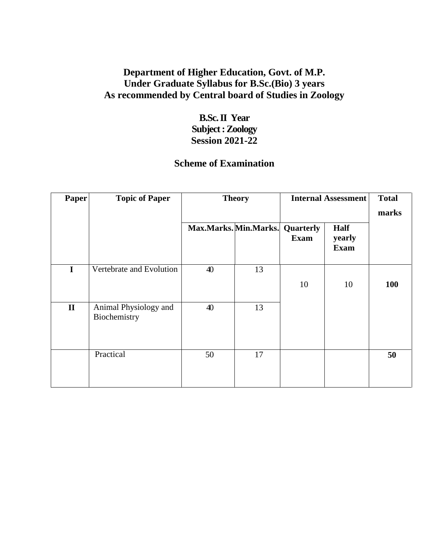# **Department of Higher Education, Govt. of M.P. Under Graduate Syllabus for B.Sc.(Bio) 3 years As recommended by Central board of Studies in Zoology**

# **B.Sc. II Year Subject : Zoology Session 2021-22**

# **Scheme of Examination**

| <b>Paper</b> | <b>Topic of Paper</b>                 | <b>Theory</b>                   |    | <b>Internal Assessment</b> |                               | <b>Total</b> |
|--------------|---------------------------------------|---------------------------------|----|----------------------------|-------------------------------|--------------|
|              |                                       |                                 |    |                            |                               | marks        |
|              |                                       | Max.Marks. Min.Marks. Quarterly |    | <b>Exam</b>                | Half<br>yearly<br><b>Exam</b> |              |
| I            | Vertebrate and Evolution              | 40                              | 13 | 10                         | 10                            | <b>100</b>   |
| $\mathbf{I}$ | Animal Physiology and<br>Biochemistry | 40                              | 13 |                            |                               |              |
|              | Practical                             | 50                              | 17 |                            |                               | 50           |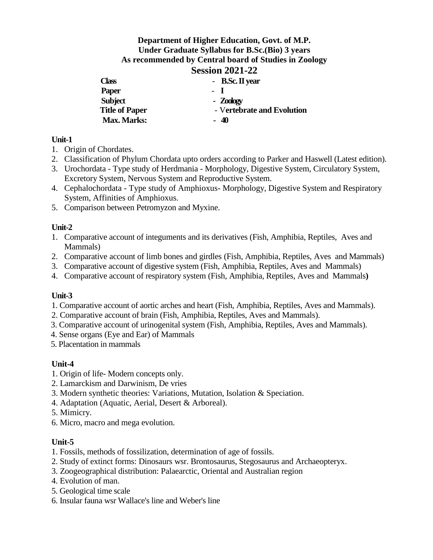## **Department of Higher Education, Govt. of M.P. Under Graduate Syllabus for B.Sc.(Bio) 3 years As recommended by Central board of Studies in Zoology Session 2021-22**

| Class                 | $-$ B.Sc. II year          |
|-----------------------|----------------------------|
| <b>Paper</b>          |                            |
| <b>Subject</b>        | - Zoology                  |
| <b>Title of Paper</b> | - Vertebrate and Evolution |
| <b>Max. Marks:</b>    | $-40$                      |
|                       |                            |

#### **Unit-1**

- 1. Origin of Chordates.
- 2. Classification of Phylum Chordata upto orders according to Parker and Haswell (Latest edition).
- 3. Urochordata Type study of Herdmania Morphology, Digestive System, Circulatory System, Excretory System, Nervous System and Reproductive System.
- 4. Cephalochordata Type study of Amphioxus- Morphology, Digestive System and Respiratory System, Affinities of Amphioxus.
- 5. Comparison between Petromyzon and Myxine.

#### **Unit-2**

- 1. Comparative account of integuments and its derivatives (Fish, Amphibia, Reptiles, Aves and Mammals)
- 2. Comparative account of limb bones and girdles (Fish, Amphibia, Reptiles, Aves and Mammals)
- 3. Comparative account of digestive system (Fish, Amphibia, Reptiles, Aves and Mammals)
- 4. Comparative account of respiratory system (Fish, Amphibia, Reptiles, Aves and Mammals**)**

## **Unit-3**

- 1. Comparative account of aortic arches and heart (Fish, Amphibia, Reptiles, Aves and Mammals).
- 2. Comparative account of brain (Fish, Amphibia, Reptiles, Aves and Mammals).
- 3. Comparative account of urinogenital system (Fish, Amphibia, Reptiles, Aves and Mammals).
- 4. Sense organs (Eye and Ear) of Mammals
- 5. Placentation in mammals

#### **Unit-4**

- 1. Origin of life- Modern concepts only.
- 2. Lamarckism and Darwinism, De vries
- 3. Modern synthetic theories: Variations, Mutation, Isolation & Speciation.
- 4. Adaptation (Aquatic, Aerial, Desert & Arboreal).
- 5. Mimicry.
- 6. Micro, macro and mega evolution.

#### **Unit-5**

- 1. Fossils, methods of fossilization, determination of age of fossils.
- 2. Study of extinct forms: Dinosaurs wsr. Brontosaurus, Stegosaurus and Archaeopteryx.
- 3. Zoogeographical distribution: Palaearctic, Oriental and Australian region
- 4. Evolution of man.
- 5. Geological time scale
- 6. Insular fauna wsr Wallace's line and Weber's line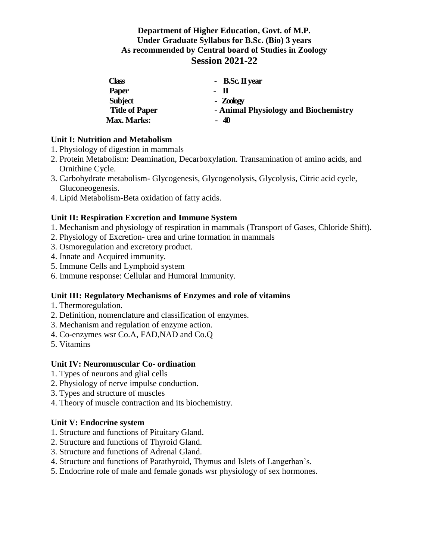# **Department of Higher Education, Govt. of M.P. Under Graduate Syllabus for B.Sc. (Bio) 3 years As recommended by Central board of Studies in Zoology Session 2021-22**

| - B.Sc. II year                      |
|--------------------------------------|
| - 11<br>$ \,$                        |
| - Zoology                            |
| - Animal Physiology and Biochemistry |
| $-40$                                |
|                                      |

## **Unit I: Nutrition and Metabolism**

- 1. Physiology of digestion in mammals
- 2. Protein Metabolism: Deamination, Decarboxylation. Transamination of amino acids, and Ornithine Cycle.
- 3. Carbohydrate metabolism- Glycogenesis, Glycogenolysis, Glycolysis, Citric acid cycle, Gluconeogenesis.
- 4. Lipid Metabolism-Beta oxidation of fatty acids.

## **Unit II: Respiration Excretion and Immune System**

- 1. Mechanism and physiology of respiration in mammals (Transport of Gases, Chloride Shift).
- 2. Physiology of Excretion- urea and urine formation in mammals
- 3. Osmoregulation and excretory product.
- 4. Innate and Acquired immunity.
- 5. Immune Cells and Lymphoid system
- 6. Immune response: Cellular and Humoral Immunity.

## **Unit III: Regulatory Mechanisms of Enzymes and role of vitamins**

- 1. Thermoregulation.
- 2. Definition, nomenclature and classification of enzymes.
- 3. Mechanism and regulation of enzyme action.
- 4. Co-enzymes wsr Co.A, FAD,NAD and Co.Q
- 5. Vitamins

## **Unit IV: Neuromuscular Co- ordination**

- 1. Types of neurons and glial cells
- 2. Physiology of nerve impulse conduction.
- 3. Types and structure of muscles
- 4. Theory of muscle contraction and its biochemistry.

## **Unit V: Endocrine system**

- 1. Structure and functions of Pituitary Gland.
- 2. Structure and functions of Thyroid Gland.
- 3. Structure and functions of Adrenal Gland.
- 4. Structure and functions of Parathyroid, Thymus and Islets of Langerhan's.
- 5. Endocrine role of male and female gonads wsr physiology of sex hormones.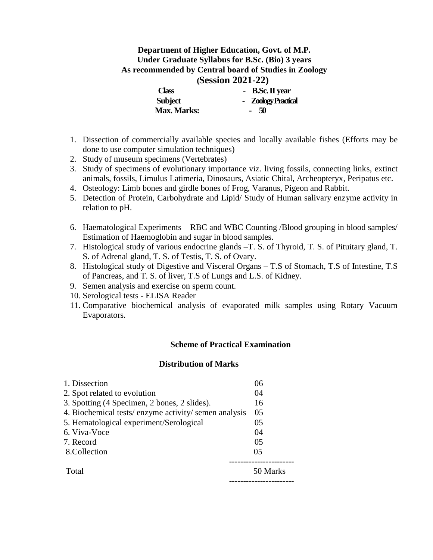#### **Department of Higher Education, Govt. of M.P. Under Graduate Syllabus for B.Sc. (Bio) 3 years As recommended by Central board of Studies in Zoology (Session 2021-22)**

| <b>Class</b>       | - $B.Sc. II year$   |
|--------------------|---------------------|
| <b>Subject</b>     | - Zoology Practical |
| <b>Max. Marks:</b> | - 50                |

- 1. Dissection of commercially available species and locally available fishes (Efforts may be done to use computer simulation techniques)
- 2. Study of museum specimens (Vertebrates)
- 3. Study of specimens of evolutionary importance viz. living fossils, connecting links, extinct animals, fossils, Limulus Latimeria, Dinosaurs, Asiatic Chital, Archeopteryx, Peripatus etc.
- 4. Osteology: Limb bones and girdle bones of Frog, Varanus, Pigeon and Rabbit.
- 5. Detection of Protein, Carbohydrate and Lipid/ Study of Human salivary enzyme activity in relation to pH.
- 6. Haematological Experiments RBC and WBC Counting /Blood grouping in blood samples/ Estimation of Haemoglobin and sugar in blood samples.
- 7. Histological study of various endocrine glands –T. S. of Thyroid, T. S. of Pituitary gland, T. S. of Adrenal gland, T. S. of Testis, T. S. of Ovary.
- 8. Histological study of Digestive and Visceral Organs T.S of Stomach, T.S of Intestine, T.S of Pancreas, and T. S. of liver, T.S of Lungs and L.S. of Kidney.
- 9. Semen analysis and exercise on sperm count.
- 10. Serological tests ELISA Reader
- 11. Comparative biochemical analysis of evaporated milk samples using Rotary Vacuum Evaporators.

#### **Scheme of Practical Examination**

#### **Distribution of Marks**

| 1. Dissection                                       | 06             |
|-----------------------------------------------------|----------------|
| 2. Spot related to evolution                        | 04             |
| 3. Spotting (4 Specimen, 2 bones, 2 slides).        | 16             |
| 4. Biochemical tests/enzyme activity/semen analysis | 0 <sub>5</sub> |
| 5. Hematological experiment/Serological             | 0 <sub>5</sub> |
| 6. Viva-Voce                                        | 04             |
| 7. Record                                           | 05             |
| 8. Collection                                       | 0 <sub>5</sub> |
|                                                     |                |
| Total                                               | 50 Marks       |
|                                                     |                |